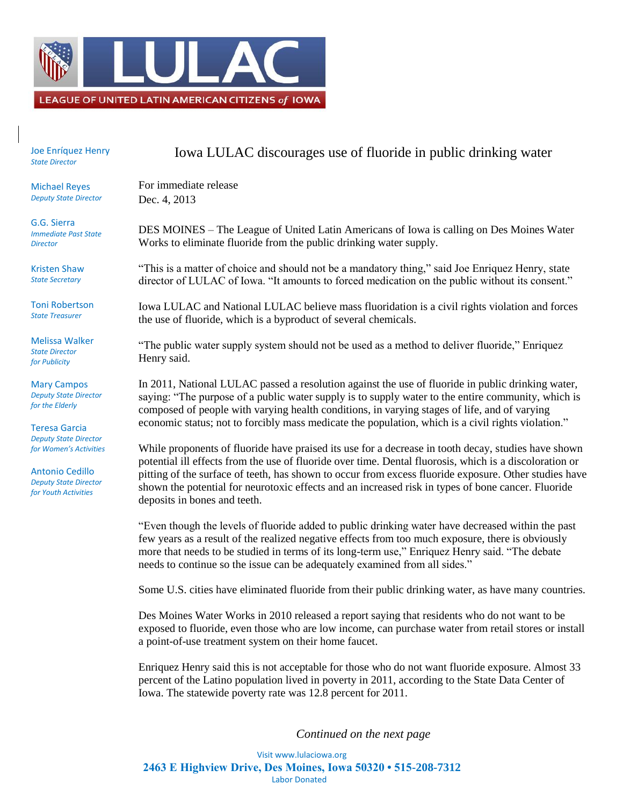

Joe Enríquez Henry *State Director*

Michael Reyes *Deputy State Director*

G.G. Sierra *Immediate Past State Director*

Kristen Shaw *State Secretary*

Toni Robertson *State Treasurer*

Melissa Walker *State Director for Publicity*

Mary Campos *Deputy State Director for the Elderly*

Teresa Garcia *Deputy State Director for Women's Activities*

Antonio Cedillo *Deputy State Director for Youth Activities*

## Iowa LULAC discourages use of fluoride in public drinking water

For immediate release Dec. 4, 2013

DES MOINES – The League of United Latin Americans of Iowa is calling on Des Moines Water Works to eliminate fluoride from the public drinking water supply.

"This is a matter of choice and should not be a mandatory thing," said Joe Enriquez Henry, state director of LULAC of Iowa. "It amounts to forced medication on the public without its consent."

Iowa LULAC and National LULAC believe mass fluoridation is a civil rights violation and forces the use of fluoride, which is a byproduct of several chemicals.

"The public water supply system should not be used as a method to deliver fluoride," Enriquez Henry said.

In 2011, National LULAC passed a resolution against the use of fluoride in public drinking water, saying: "The purpose of a public water supply is to supply water to the entire community, which is composed of people with varying health conditions, in varying stages of life, and of varying economic status; not to forcibly mass medicate the population, which is a civil rights violation."

While proponents of fluoride have praised its use for a decrease in tooth decay, studies have shown potential ill effects from the use of fluoride over time. Dental fluorosis, which is a discoloration or pitting of the surface of teeth, has shown to occur from excess fluoride exposure. Other studies have shown the potential for neurotoxic effects and an increased risk in types of bone cancer. Fluoride deposits in bones and teeth.

"Even though the levels of fluoride added to public drinking water have decreased within the past few years as a result of the realized negative effects from too much exposure, there is obviously more that needs to be studied in terms of its long-term use," Enriquez Henry said. "The debate needs to continue so the issue can be adequately examined from all sides."

Some U.S. cities have eliminated fluoride from their public drinking water, as have many countries.

Des Moines Water Works in 2010 released a report saying that residents who do not want to be exposed to fluoride, even those who are low income, can purchase water from retail stores or install a point-of-use treatment system on their home faucet.

Enriquez Henry said this is not acceptable for those who do not want fluoride exposure. Almost 33 percent of the Latino population lived in poverty in 2011, according to the State Data Center of Iowa. The statewide poverty rate was 12.8 percent for 2011.

*Continued on the next page*

Visit www.lulaciowa.org **2463 E Highview Drive, Des Moines, Iowa 50320 • 515-208-7312** Labor Donated